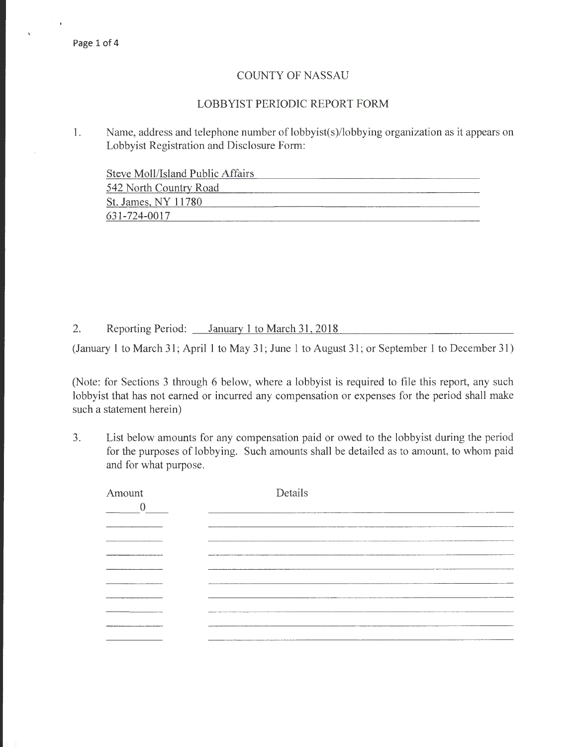### COUNTY OF NASSAU

### LOBBYIST PERIODIC REPORT FORM

1. Name, address and telephone number of lobbyist(s)/lobbying organization as it appears on Lobbyist Registration and Disclosure Form:

Steve Moll/Island Public Affairs

| 542 North Country Road |  |
|------------------------|--|
| St. James, NY 11780    |  |
| 631-724-0017           |  |

2. Reporting Period: January 1 to March 31, 2018

(January 1 to March 31; April 1 to May 31; June 1 to August 31; or September 1 to December 31)

(Note: for Sections 3 through 6 below, where a lobbyist is required to file this report, any such lobbyist that has not earned or incurred any compensation or expenses for the period shall make such a statement herein)

3. List below amounts for any compensation paid or owed to the lobbyist during the period for the purposes of lobbying. Such amounts shall be detailed as to amount, to whom paid and for what purpose.

| Amount<br>0    | Details                      |
|----------------|------------------------------|
|                |                              |
|                |                              |
|                | <b>CONTRACTOR CONTRACTOR</b> |
| -------------- |                              |
|                | <b>CONTRACTOR</b>            |
|                |                              |
|                |                              |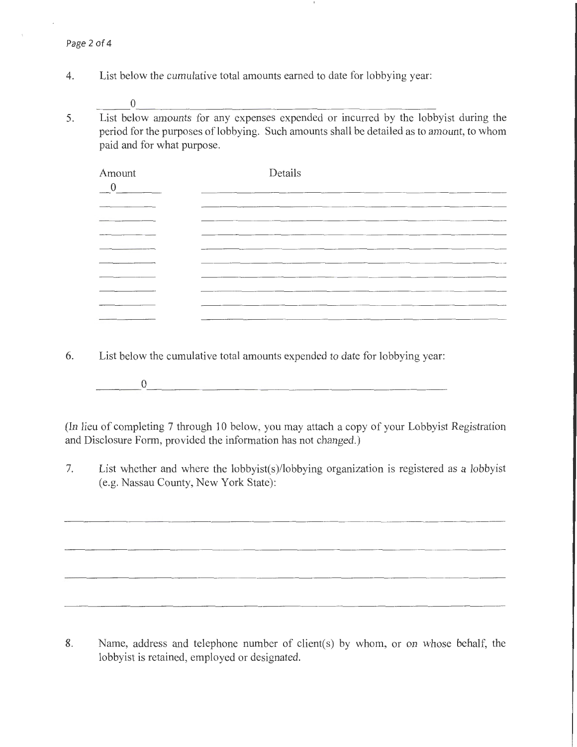- 4. List below the cumulative total amounts earned to date for lobbying year:
- $\Box$  0  $\Box$ 5. List below amounts for any expenses expended or incurred by the lobbyist during the period for the purposes of lobbying. Such amounts shall be detailed as to amount, to whom paid and for what purpose.

| Amount<br>$\overline{\phantom{0}}^0$                                                    | Details                                                                                                         |
|-----------------------------------------------------------------------------------------|-----------------------------------------------------------------------------------------------------------------|
|                                                                                         | ___                                                                                                             |
|                                                                                         |                                                                                                                 |
|                                                                                         |                                                                                                                 |
|                                                                                         | the contract of the contract of the contract of the contract of the contract of the contract of the contract of |
| the state of the control of the control of the control of the control of the control of |                                                                                                                 |
|                                                                                         |                                                                                                                 |
| ____                                                                                    | -----<br>_____                                                                                                  |
|                                                                                         |                                                                                                                 |
|                                                                                         | ----                                                                                                            |

- 6. List below the cumulative total amounts expended to date for lobbying year:
	- $\overline{0}$

(In lieu of completing 7 through 10 below, you may attach a copy of your Lobbyist Registration and Disclosure Form, provided the information has not changed.)

7. List whether and where the lobbyist(s)/lobbying organization is registered as a lobbyist (e.g. Nassau County, New York State):

8. Name, address and telephone number of client(s) by whom, or on whose behalf, the lobbyist is retained, employed or designated.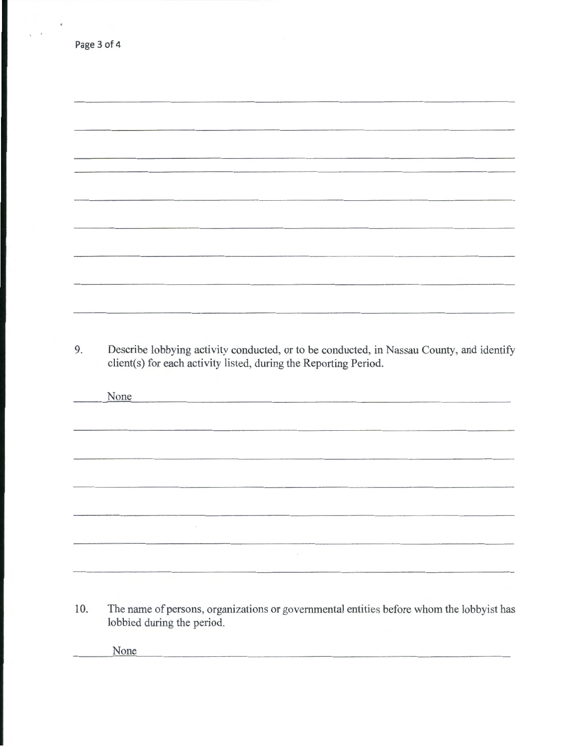| 9. | Describe lobbying activity conducted, or to be conducted, in Nassau County, and identify<br>client(s) for each activity listed, during the Reporting Period. |
|----|--------------------------------------------------------------------------------------------------------------------------------------------------------------|
|    | None                                                                                                                                                         |
|    |                                                                                                                                                              |
|    |                                                                                                                                                              |
|    |                                                                                                                                                              |
|    |                                                                                                                                                              |
|    |                                                                                                                                                              |

10. The name of persons, organizations or governmental entities before whom the lobbyist has lobbied during the period.

None

Page 3 of 4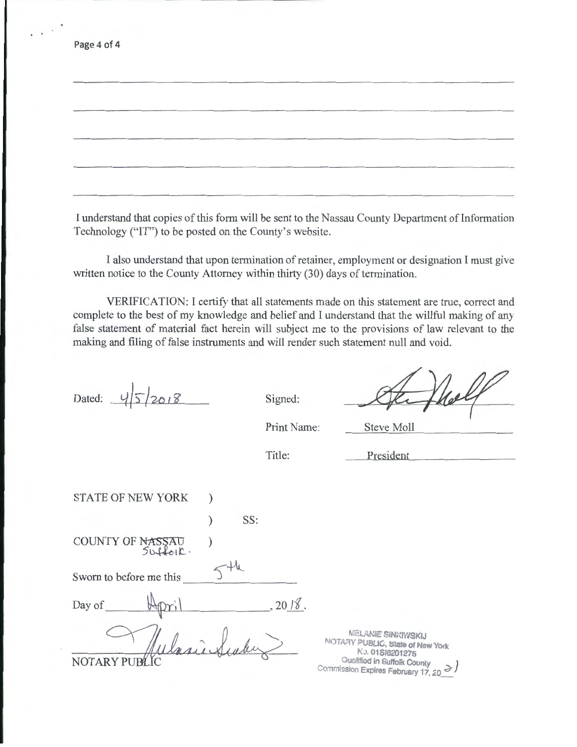Page 4 of 4

I understand that copies of this form will be sent to the Nassau County Department of Information Technology ("IT") to be posted on the County's website.

I also understand that upon termination of retainer, employment or designation I must give written notice to the County Attorney within thirty (30) days of termination.

VERIFICATION: I certify that all statements made on this statement are true, correct and complete to the best of my knowledge and belief and I understand that the willful making of any false statement of material fact herein will subject me to the provisions of law relevant to the making and filing of false instruments and will render such statement null and void.

Dated:  $\frac{1}{5}$  2018 Signed:

Print Name: Steve Moll

Title:

President

STATE OF NEW YORK ) COUNTY OF NASSAU  $50+60$ Sworn to before me this ) SS: )  $\frac{1}{\sqrt{1-\frac{1}{2}}}$ Day of  $\bigoplus_{\mathcal{P}}$ ril , 2018. **NOTAR** 

MELANIE SINKRYSKIJ NOTARY PUBLIC, State of New York l\\_. 01Sia201275 Qualified in Suffolk County Commission Expires February 17, 20 d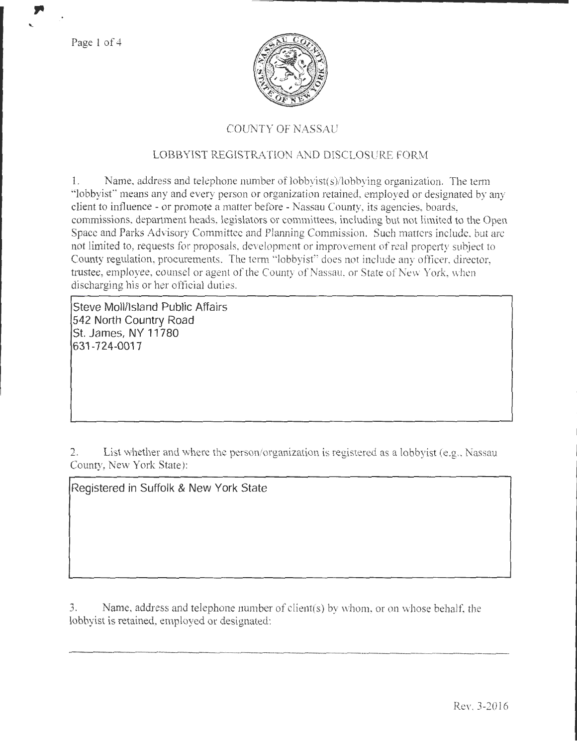Page 1 of 4



# COUNTY OF NASSAU

## LOBBYIST REGISTRATION AND DISCLOSURE FORM

1. Name, address and telephone number of lobbyist(s)/lobbying organization. The term "lobbyist" means any and every person or organization retained, employed or designated by any client to influence- or promote a matter before- Nassau County, its agencies, boards, commissions. department heads, legislators or committees, including but not limited to the Open Space and Parks Advisory Committee and Planning Commission. Such matters include, but are not limited to, requests for proposals, development or improvement of real property subject to County regulation, procurements. The term "lobbyist" does not include any officer, director, trustee, employee, counsel or agent of the County of Nassau, or State of New York, when discharging his or her official duties.

**Steve Moll/Island Public Affairs 542 North Country Road St. James, NY 11780 631-724-0017** 

2. List whether and where the person/organization is registered as a lobbyist (e.g., Nassau County, New York State):

**Registered in Suffolk & New York State** 

3. Name, address and telephone number of client(s) by whom, or on whose behalf, the lobbyist is retained, employed or designated: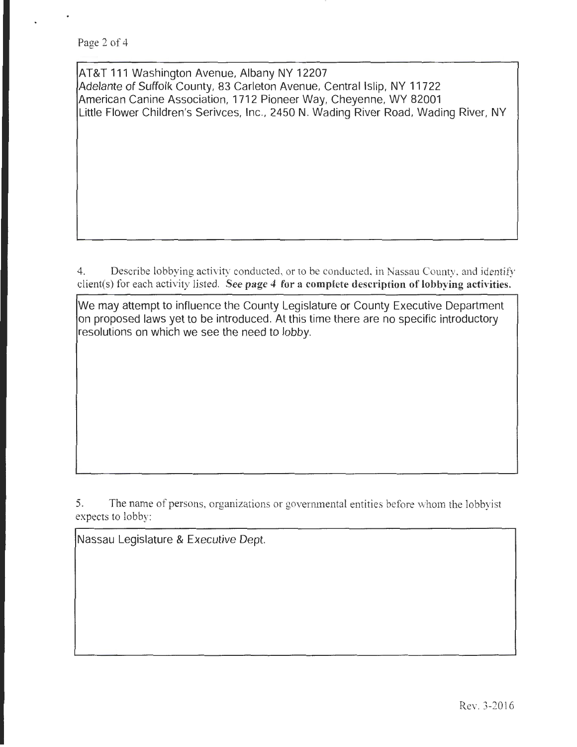AT&T 111 Washington Avenue, Albany NY 12207 Adelante of Suffolk County, 83 Carleton Avenue, Central Islip, NY 11722 American Canine Association, 1712 Pioneer Way, Cheyenne, WY 82001 Little Flower Children's Serivces, Inc., 2450 N. Wading River Road, Wading River, NY

4. Describe lobbying activity conducted, or to be conducted, in Nassau County, and identify client(s) for each activity listed. See page 4 for a complete description of lobbying activities.

We may attempt to influence the County Legislature or County Executive Department on proposed laws yet to be introduced. At this time there are no specific introductory resolutions on which we see the need to lobby.

5. The name of persons, organizations or governmental entities before whom the lobbyist expects to lobby:

Nassau Legislature & Executive Dept.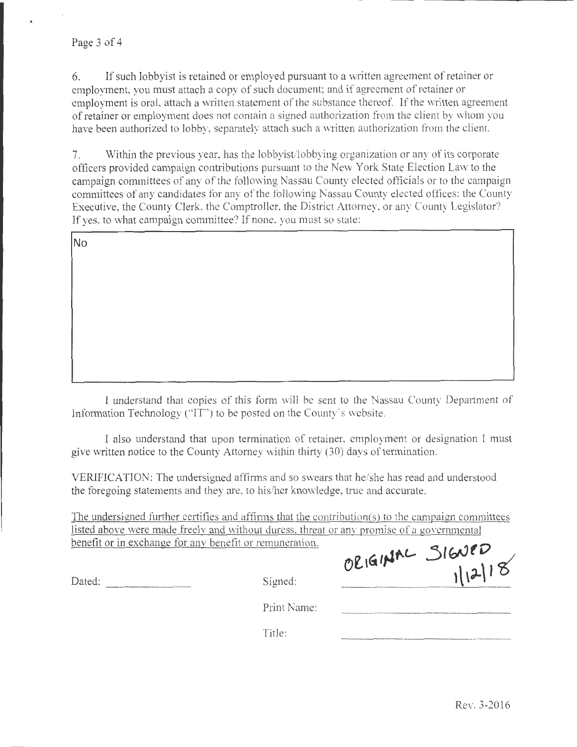### Page 3 of 4

6. If such lobby is is retained or employed pursuant to a written agreement of retainer or employment, you must attach a copy of such document; and if agreement of retainer or employment is oral, attach a written statement of the substance thereof. If the written agreement of retainer or employment does not contain a signed authorization from the client by whom you have been authorized to lobby, separately attach such a written authorization from the client.

7. Within the previous year. has the lobbyist/lobbying organization or any of its corporate officers provided campaign contributions pursuant to the New York State Election Law to the campaign committees of any of the following Nassau County elected officials or to the campaign committees of any candidates for any of the following Nassau County elected offices: the County Executive, the County Clerk. the Comptroller, the District Attorney, or any County Legislator? If yes, to what campaign committee? If none, you must so state:

No

I understand that copies of this form will be sent to the Nassau County Department of Information Technology ("IT") to be posted on the County's website.

I also understand that upon termination of retainer, employment or designation I must give written notice to the County Attorney within thirty (30) days of termination.

VER1F1CATION: The undersigned affirms and so swears that he/she has read and understood the foregoing statements and they are, to his/her knowledge, true and accurate.

The undersitgned further certifies and affirms that the contribution(s) to the campaign committees listed above were made freely and without duress, threat or any promise of a governmental benefit or in exchange for anv benefit or remuneration. ORIGINAL SIGNED

Dated: Signed:

Print Name:

Title: